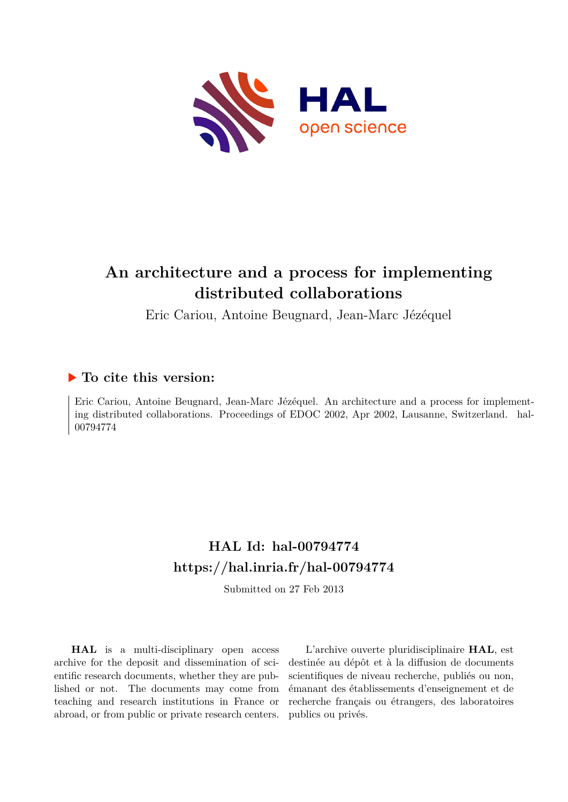

# **An architecture and a process for implementing distributed collaborations**

Eric Cariou, Antoine Beugnard, Jean-Marc Jézéquel

## **To cite this version:**

Eric Cariou, Antoine Beugnard, Jean-Marc Jézéquel. An architecture and a process for implementing distributed collaborations. Proceedings of EDOC 2002, Apr 2002, Lausanne, Switzerland. hal-00794774ff

## **HAL Id: hal-00794774 <https://hal.inria.fr/hal-00794774>**

Submitted on 27 Feb 2013

**HAL** is a multi-disciplinary open access archive for the deposit and dissemination of scientific research documents, whether they are published or not. The documents may come from teaching and research institutions in France or abroad, or from public or private research centers.

L'archive ouverte pluridisciplinaire **HAL**, est destinée au dépôt et à la diffusion de documents scientifiques de niveau recherche, publiés ou non, émanant des établissements d'enseignement et de recherche français ou étrangers, des laboratoires publics ou privés.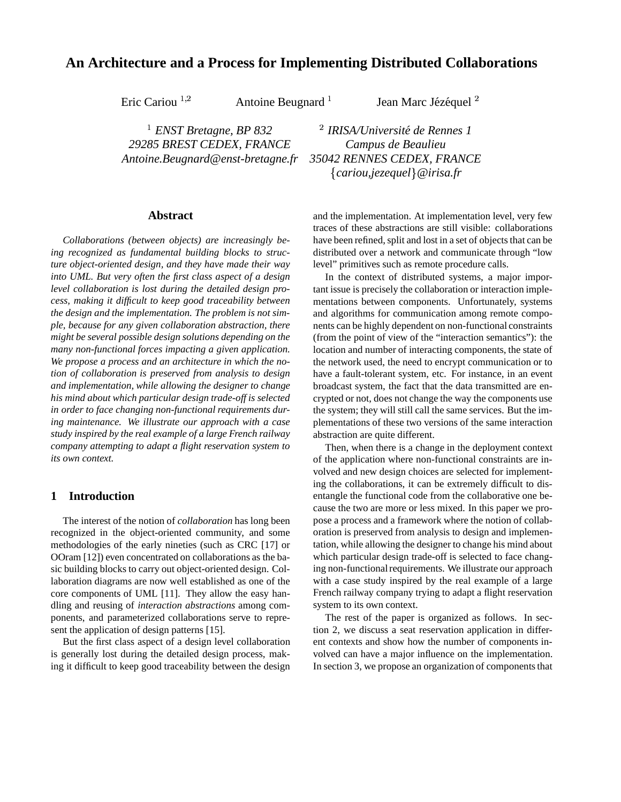## **An Architecture and a Process for Implementing Distributed Collaborations**

Eric Cariou  $^{1,2}$ 

Antoine Beugnard<sup>1</sup>

 *ENST Bretagne, BP 832 29285 BREST CEDEX, FRANCE Campus de Beaulieu Antoine.Beugnard@enst-bretagne.fr 35042 RENNES CEDEX, FRANCE*

#### **Abstract**

*Collaborations (between objects) are increasingly being recognized as fundamental building blocks to structure object-oriented design, and they have made their way into UML. But very often the first class aspect of a design level collaboration is lost during the detailed design process, making it difficult to keep good traceability between the design and the implementation. The problem is not simple, because for any given collaboration abstraction, there might be several possible design solutions depending on the many non-functional forces impacting a given application. We propose a process and an architecture in which the notion of collaboration is preserved from analysis to design and implementation, while allowing the designer to change his mind about which particular design trade-off is selected in order to face changing non-functional requirements during maintenance. We illustrate our approach with a case study inspired by the real example of a large French railway company attempting to adapt a flight reservation system to its own context.*

## **1 Introduction**

The interest of the notion of *collaboration* has long been recognized in the object-oriented community, and some methodologies of the early nineties (such as CRC [17] or OOram [12]) even concentrated on collaborations as the basic building blocks to carry out object-oriented design. Collaboration diagrams are now well established as one of the core components of UML [11]. They allow the easy handling and reusing of *interaction abstractions* among components, and parameterized collaborations serve to represent the application of design patterns [15].

But the first class aspect of a design level collaboration is generally lost during the detailed design process, making it difficult to keep good traceability between the design *IRISA/Universite´ de Rennes 1 cariou,jezequel @irisa.fr*

and the implementation. At implementation level, very few traces of these abstractions are still visible: collaborations have been refined, split and lost in a set of objects that can be distributed over a network and communicate through "low level" primitives such as remote procedure calls.

Jean Marc Jézéquel<sup>2</sup>

In the context of distributed systems, a major important issue is precisely the collaboration or interaction implementations between components. Unfortunately, systems and algorithms for communication among remote components can be highly dependent on non-functional constraints (from the point of view of the "interaction semantics"): the location and number of interacting components, the state of the network used, the need to encrypt communication or to have a fault-tolerant system, etc. For instance, in an event broadcast system, the fact that the data transmitted are encrypted or not, does not change the way the components use the system; they will still call the same services. But the implementations of these two versions of the same interaction abstraction are quite different.

Then, when there is a change in the deployment context of the application where non-functional constraints are involved and new design choices are selected for implementing the collaborations, it can be extremely difficult to disentangle the functional code from the collaborative one because the two are more or less mixed. In this paper we propose a process and a framework where the notion of collaboration is preserved from analysis to design and implementation, while allowing the designer to change his mind about which particular design trade-off is selected to face changing non-functional requirements. We illustrate our approach with a case study inspired by the real example of a large French railway company trying to adapt a flight reservation system to its own context.

The rest of the paper is organized as follows. In section 2, we discuss a seat reservation application in different contexts and show how the number of components involved can have a major influence on the implementation. In section 3, we propose an organization of components that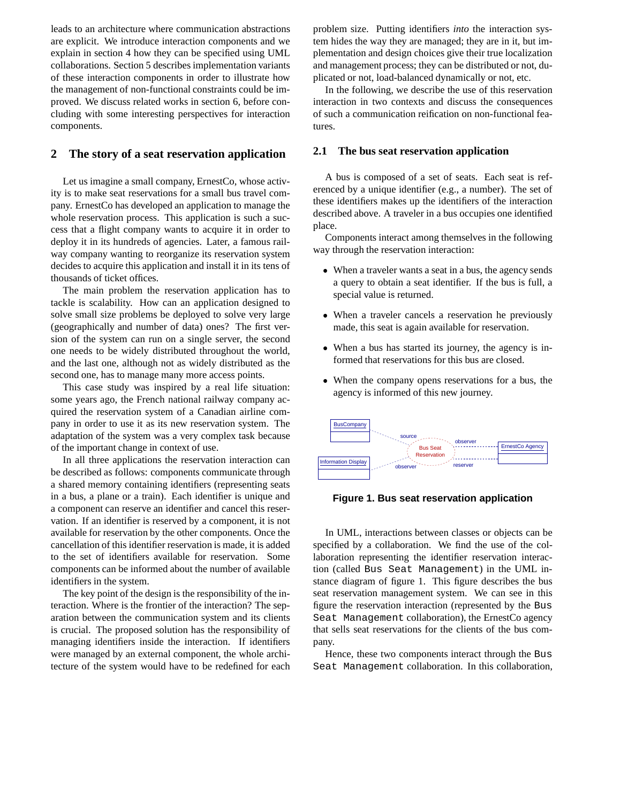leads to an architecture where communication abstractions are explicit. We introduce interaction components and we explain in section 4 how they can be specified using UML collaborations. Section 5 describes implementation variants of these interaction components in order to illustrate how the management of non-functional constraints could be improved. We discuss related works in section 6, before concluding with some interesting perspectives for interaction components.

## **2 The story of a seat reservation application**

Let us imagine a small company, ErnestCo, whose activity is to make seat reservations for a small bus travel company. ErnestCo has developed an application to manage the whole reservation process. This application is such a success that a flight company wants to acquire it in order to deploy it in its hundreds of agencies. Later, a famous railway company wanting to reorganize its reservation system decides to acquire this application and install it in its tens of thousands of ticket offices.

The main problem the reservation application has to tackle is scalability. How can an application designed to solve small size problems be deployed to solve very large (geographically and number of data) ones? The first version of the system can run on a single server, the second one needs to be widely distributed throughout the world, and the last one, although not as widely distributed as the second one, has to manage many more access points.

This case study was inspired by a real life situation: some years ago, the French national railway company acquired the reservation system of a Canadian airline company in order to use it as its new reservation system. The adaptation of the system was a very complex task because of the important change in context of use.

In all three applications the reservation interaction can be described as follows: components communicate through a shared memory containing identifiers (representing seats in a bus, a plane or a train). Each identifier is unique and a component can reserve an identifier and cancel this reservation. If an identifier is reserved by a component, it is not available for reservation by the other components. Once the cancellation of this identifier reservation is made, it is added to the set of identifiers available for reservation. Some components can be informed about the number of available identifiers in the system.

The key point of the design is the responsibility of the interaction. Where is the frontier of the interaction? The separation between the communication system and its clients is crucial. The proposed solution has the responsibility of managing identifiers inside the interaction. If identifiers were managed by an external component, the whole architecture of the system would have to be redefined for each problem size. Putting identifiers *into* the interaction system hides the way they are managed; they are in it, but implementation and design choices give their true localization and management process; they can be distributed or not, duplicated or not, load-balanced dynamically or not, etc.

In the following, we describe the use of this reservation interaction in two contexts and discuss the consequences of such a communication reification on non-functional features.

#### **2.1 The bus seat reservation application**

A bus is composed of a set of seats. Each seat is referenced by a unique identifier (e.g., a number). The set of these identifiers makes up the identifiers of the interaction described above. A traveler in a bus occupies one identified place.

Components interact among themselves in the following way through the reservation interaction:

- When a traveler wants a seat in a bus, the agency sends a query to obtain a seat identifier. If the bus is full, a special value is returned.
- When a traveler cancels a reservation he previously made, this seat is again available for reservation.
- When a bus has started its journey, the agency is informed that reservations for this bus are closed.
- When the company opens reservations for a bus, the agency is informed of this new journey.



#### **Figure 1. Bus seat reservation application**

In UML, interactions between classes or objects can be specified by a collaboration. We find the use of the collaboration representing the identifier reservation interaction (called Bus Seat Management) in the UML instance diagram of figure 1. This figure describes the bus seat reservation management system. We can see in this figure the reservation interaction (represented by the Bus Seat Management collaboration), the ErnestCo agency that sells seat reservations for the clients of the bus company.

Hence, these two components interact through the Bus Seat Management collaboration. In this collaboration,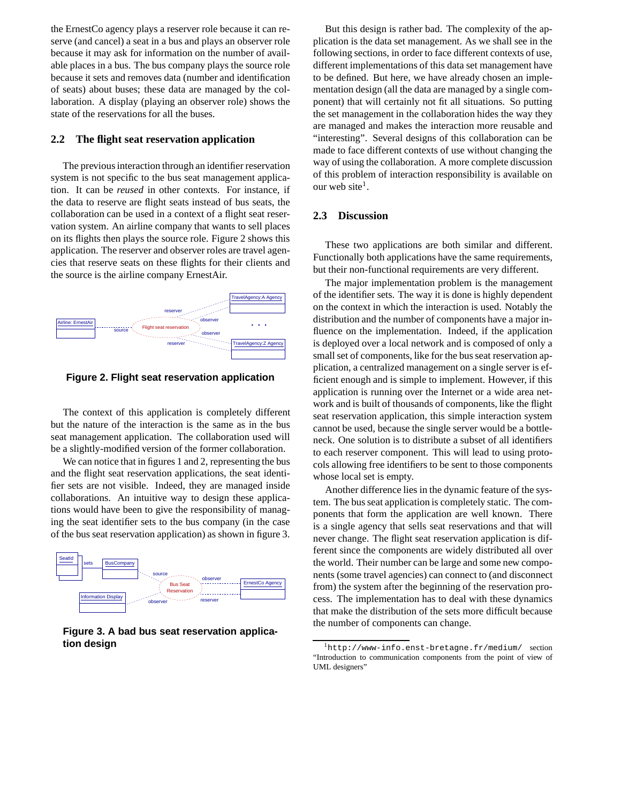the ErnestCo agency plays a reserver role because it can reserve (and cancel) a seat in a bus and plays an observer role because it may ask for information on the number of available places in a bus. The bus company plays the source role because it sets and removes data (number and identification of seats) about buses; these data are managed by the collaboration. A display (playing an observer role) shows the state of the reservations for all the buses.

#### **2.2 The flight seat reservation application**

The previous interaction through an identifier reservation system is not specific to the bus seat management application. It can be *reused* in other contexts. For instance, if the data to reserve are flight seats instead of bus seats, the collaboration can be used in a context of a flight seat reservation system. An airline company that wants to sell places on its flights then plays the source role. Figure 2 shows this application. The reserver and observer roles are travel agencies that reserve seats on these flights for their clients and the source is the airline company ErnestAir.



**Figure 2. Flight seat reservation application**

The context of this application is completely different but the nature of the interaction is the same as in the bus seat management application. The collaboration used will be a slightly-modified version of the former collaboration.

We can notice that in figures 1 and 2, representing the bus and the flight seat reservation applications, the seat identifier sets are not visible. Indeed, they are managed inside collaborations. An intuitive way to design these applications would have been to give the responsibility of managing the seat identifier sets to the bus company (in the case of the bus seat reservation application) as shown in figure 3.



**Figure 3. A bad bus seat reservation application design**

But this design is rather bad. The complexity of the application is the data set management. As we shall see in the following sections, in order to face different contexts of use, different implementations of this data set management have to be defined. But here, we have already chosen an implementation design (all the data are managed by a single component) that will certainly not fit all situations. So putting the set management in the collaboration hides the way they are managed and makes the interaction more reusable and "interesting". Several designs of this collaboration can be made to face different contexts of use without changing the way of using the collaboration. A more complete discussion of this problem of interaction responsibility is available on our web site<sup>1</sup>.

#### **2.3 Discussion**

These two applications are both similar and different. Functionally both applications have the same requirements, but their non-functional requirements are very different.

The major implementation problem is the management of the identifier sets. The way it is done is highly dependent on the context in which the interaction is used. Notably the distribution and the number of components have a major influence on the implementation. Indeed, if the application is deployed over a local network and is composed of only a small set of components, like for the bus seat reservation application, a centralized management on a single server is efficient enough and is simple to implement. However, if this application is running over the Internet or a wide area network and is built of thousands of components, like the flight seat reservation application, this simple interaction system cannot be used, because the single server would be a bottleneck. One solution is to distribute a subset of all identifiers to each reserver component. This will lead to using protocols allowing free identifiers to be sent to those components whose local set is empty.

Another difference lies in the dynamic feature of the system. The bus seat application is completely static. The components that form the application are well known. There is a single agency that sells seat reservations and that will never change. The flight seat reservation application is different since the components are widely distributed all over the world. Their number can be large and some new components (some travel agencies) can connect to (and disconnect from) the system after the beginning of the reservation process. The implementation has to deal with these dynamics that make the distribution of the sets more difficult because the number of components can change.

<sup>1</sup>http://www-info.enst-bretagne.fr/medium/ section "Introduction to communication components from the point of view of UML designers"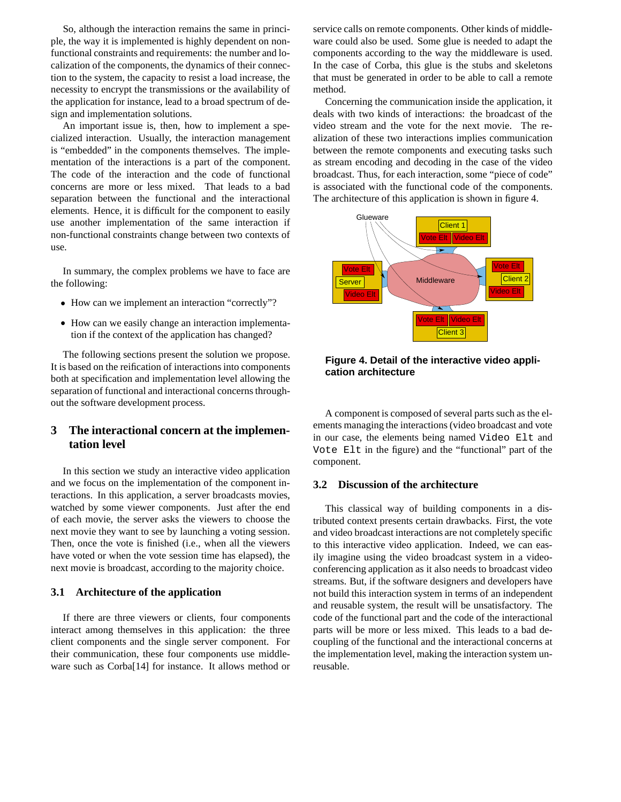So, although the interaction remains the same in principle, the way it is implemented is highly dependent on nonfunctional constraints and requirements: the number and localization of the components, the dynamics of their connection to the system, the capacity to resist a load increase, the necessity to encrypt the transmissions or the availability of the application for instance, lead to a broad spectrum of design and implementation solutions.

An important issue is, then, how to implement a specialized interaction. Usually, the interaction management is "embedded" in the components themselves. The implementation of the interactions is a part of the component. The code of the interaction and the code of functional concerns are more or less mixed. That leads to a bad separation between the functional and the interactional elements. Hence, it is difficult for the component to easily use another implementation of the same interaction if non-functional constraints change between two contexts of use.

In summary, the complex problems we have to face are the following:

- How can we implement an interaction "correctly"?
- How can we easily change an interaction implementation if the context of the application has changed?

The following sections present the solution we propose. It is based on the reification of interactions into components both at specification and implementation level allowing the separation of functional and interactional concerns throughout the software development process.

## **3 The interactional concern at the implementation level**

In this section we study an interactive video application and we focus on the implementation of the component interactions. In this application, a server broadcasts movies, watched by some viewer components. Just after the end of each movie, the server asks the viewers to choose the next movie they want to see by launching a voting session. Then, once the vote is finished (i.e., when all the viewers have voted or when the vote session time has elapsed), the next movie is broadcast, according to the majority choice.

#### **3.1 Architecture of the application**

If there are three viewers or clients, four components interact among themselves in this application: the three client components and the single server component. For their communication, these four components use middleware such as Corba[14] for instance. It allows method or

service calls on remote components. Other kinds of middleware could also be used. Some glue is needed to adapt the components according to the way the middleware is used. In the case of Corba, this glue is the stubs and skeletons that must be generated in order to be able to call a remote method.

Concerning the communication inside the application, it deals with two kinds of interactions: the broadcast of the video stream and the vote for the next movie. The realization of these two interactions implies communication between the remote components and executing tasks such as stream encoding and decoding in the case of the video broadcast. Thus, for each interaction, some "piece of code" is associated with the functional code of the components. The architecture of this application is shown in figure 4.



**Figure 4. Detail of the interactive video application architecture**

A component is composed of several parts such as the elements managing the interactions (video broadcast and vote in our case, the elements being named Video Elt and Vote Elt in the figure) and the "functional" part of the component.

## **3.2 Discussion of the architecture**

This classical way of building components in a distributed context presents certain drawbacks. First, the vote and video broadcast interactions are not completely specific to this interactive video application. Indeed, we can easily imagine using the video broadcast system in a videoconferencing application as it also needs to broadcast video streams. But, if the software designers and developers have not build this interaction system in terms of an independent and reusable system, the result will be unsatisfactory. The code of the functional part and the code of the interactional parts will be more or less mixed. This leads to a bad decoupling of the functional and the interactional concerns at the implementation level, making the interaction system unreusable.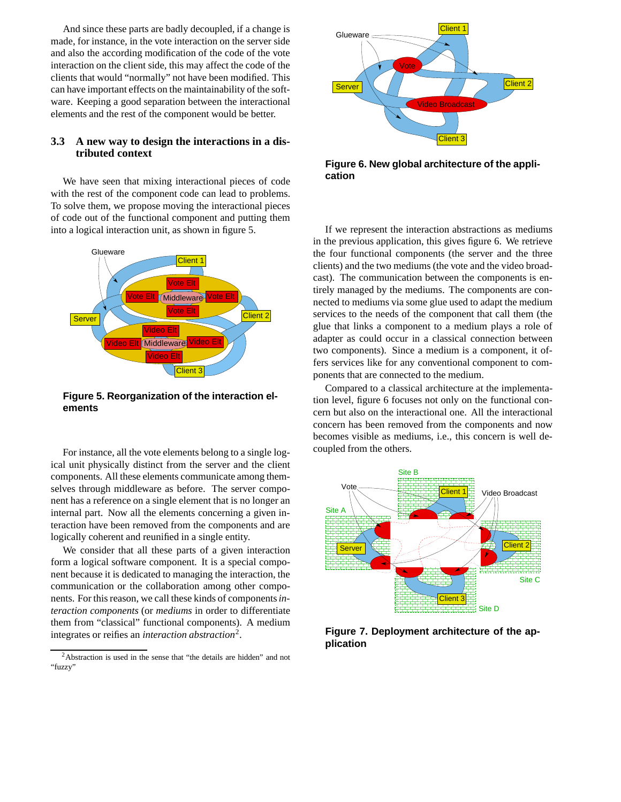And since these parts are badly decoupled, if a change is made, for instance, in the vote interaction on the server side and also the according modification of the code of the vote interaction on the client side, this may affect the code of the clients that would "normally" not have been modified. This can have important effects on the maintainability of the software. Keeping a good separation between the interactional elements and the rest of the component would be better.

## **3.3 A new way to design the interactions in a distributed context**

We have seen that mixing interactional pieces of code with the rest of the component code can lead to problems. To solve them, we propose moving the interactional pieces of code out of the functional component and putting them into a logical interaction unit, as shown in figure 5.



**Figure 5. Reorganization of the interaction elements**

For instance, all the vote elements belong to a single logical unit physically distinct from the server and the client components. All these elements communicate among themselves through middleware as before. The server component has a reference on a single element that is no longer an internal part. Now all the elements concerning a given interaction have been removed from the components and are logically coherent and reunified in a single entity.

We consider that all these parts of a given interaction form a logical software component. It is a special component because it is dedicated to managing the interaction, the communication or the collaboration among other components. For this reason, we call these kinds of components*interaction components* (or *mediums* in order to differentiate them from "classical" functional components). A medium integrates or reifies an *interaction abstraction*<sup>2</sup> .



**Figure 6. New global architecture of the application**

If we represent the interaction abstractions as mediums in the previous application, this gives figure 6. We retrieve the four functional components (the server and the three clients) and the two mediums (the vote and the video broadcast). The communication between the components is entirely managed by the mediums. The components are connected to mediums via some glue used to adapt the medium services to the needs of the component that call them (the glue that links a component to a medium plays a role of adapter as could occur in a classical connection between two components). Since a medium is a component, it offers services like for any conventional component to components that are connected to the medium.

Compared to a classical architecture at the implementation level, figure 6 focuses not only on the functional concern but also on the interactional one. All the interactional concern has been removed from the components and now becomes visible as mediums, i.e., this concern is well decoupled from the others.



**Figure 7. Deployment architecture of the application**

<sup>2</sup>Abstraction is used in the sense that "the details are hidden" and not "fuzzy"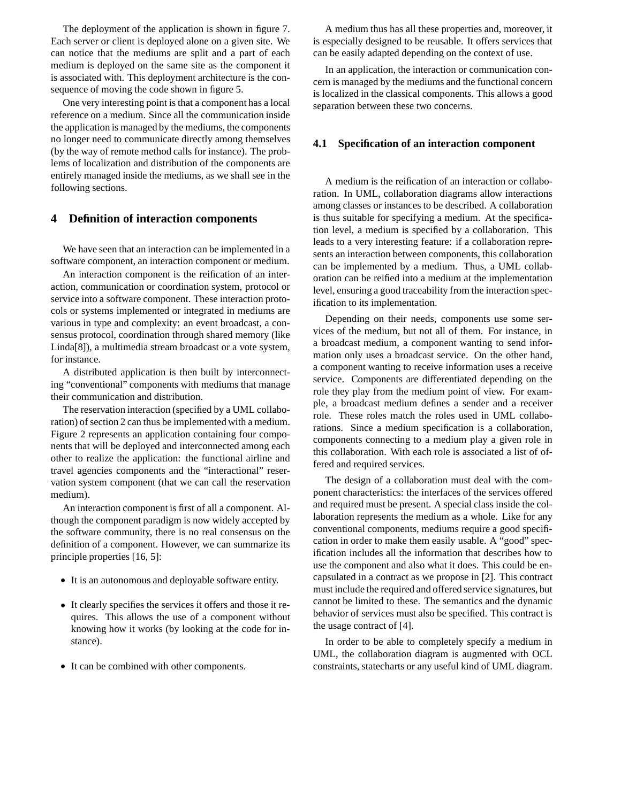The deployment of the application is shown in figure 7. Each server or client is deployed alone on a given site. We can notice that the mediums are split and a part of each medium is deployed on the same site as the component it is associated with. This deployment architecture is the consequence of moving the code shown in figure 5.

One very interesting point is that a component has a local reference on a medium. Since all the communication inside the application is managed by the mediums, the components no longer need to communicate directly among themselves (by the way of remote method calls for instance). The problems of localization and distribution of the components are entirely managed inside the mediums, as we shall see in the following sections.

#### **4 Definition of interaction components**

We have seen that an interaction can be implemented in a software component, an interaction component or medium.

An interaction component is the reification of an interaction, communication or coordination system, protocol or service into a software component. These interaction protocols or systems implemented or integrated in mediums are various in type and complexity: an event broadcast, a consensus protocol, coordination through shared memory (like Linda[8]), a multimedia stream broadcast or a vote system, for instance.

A distributed application is then built by interconnecting "conventional" components with mediums that manage their communication and distribution.

The reservation interaction (specified by a UML collaboration) of section 2 can thus be implemented with a medium. Figure 2 represents an application containing four components that will be deployed and interconnected among each other to realize the application: the functional airline and travel agencies components and the "interactional" reservation system component (that we can call the reservation medium).

An interaction component is first of all a component. Although the component paradigm is now widely accepted by the software community, there is no real consensus on the definition of a component. However, we can summarize its principle properties [16, 5]:

- It is an autonomous and deployable software entity.
- It clearly specifies the services it offers and those it requires. This allows the use of a component without knowing how it works (by looking at the code for instance).
- It can be combined with other components.

A medium thus has all these properties and, moreover, it is especially designed to be reusable. It offers services that can be easily adapted depending on the context of use.

In an application, the interaction or communication concern is managed by the mediums and the functional concern is localized in the classical components. This allows a good separation between these two concerns.

#### **4.1 Specification of an interaction component**

A medium is the reification of an interaction or collaboration. In UML, collaboration diagrams allow interactions among classes or instances to be described. A collaboration is thus suitable for specifying a medium. At the specification level, a medium is specified by a collaboration. This leads to a very interesting feature: if a collaboration represents an interaction between components, this collaboration can be implemented by a medium. Thus, a UML collaboration can be reified into a medium at the implementation level, ensuring a good traceability from the interaction specification to its implementation.

Depending on their needs, components use some services of the medium, but not all of them. For instance, in a broadcast medium, a component wanting to send information only uses a broadcast service. On the other hand, a component wanting to receive information uses a receive service. Components are differentiated depending on the role they play from the medium point of view. For example, a broadcast medium defines a sender and a receiver role. These roles match the roles used in UML collaborations. Since a medium specification is a collaboration, components connecting to a medium play a given role in this collaboration. With each role is associated a list of offered and required services.

The design of a collaboration must deal with the component characteristics: the interfaces of the services offered and required must be present. A special class inside the collaboration represents the medium as a whole. Like for any conventional components, mediums require a good specification in order to make them easily usable. A "good" specification includes all the information that describes how to use the component and also what it does. This could be encapsulated in a contract as we propose in [2]. This contract must include the required and offered service signatures, but cannot be limited to these. The semantics and the dynamic behavior of services must also be specified. This contract is the usage contract of [4].

In order to be able to completely specify a medium in UML, the collaboration diagram is augmented with OCL constraints, statecharts or any useful kind of UML diagram.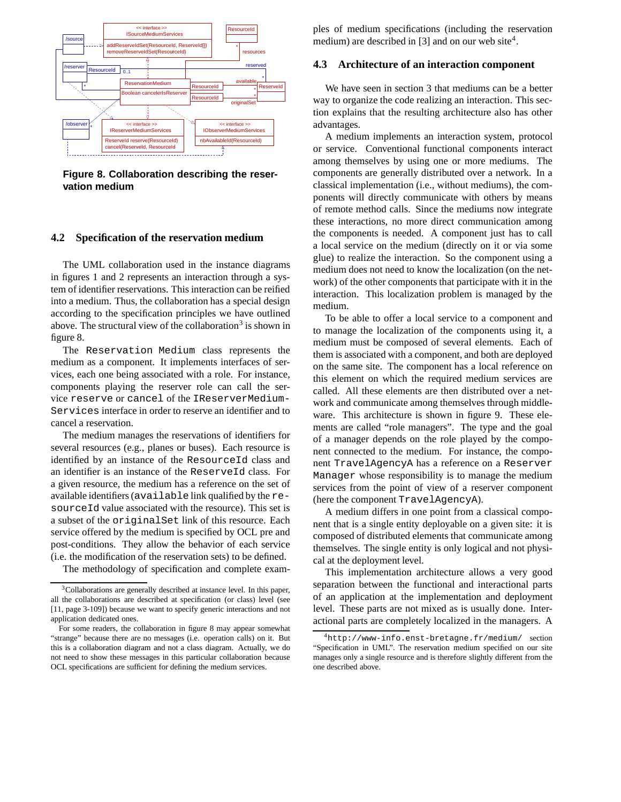

**Figure 8. Collaboration describing the reservation medium**

#### **4.2 Specification of the reservation medium**

The UML collaboration used in the instance diagrams in figures 1 and 2 represents an interaction through a system of identifier reservations. This interaction can be reified into a medium. Thus, the collaboration has a special design according to the specification principles we have outlined above. The structural view of the collaboration<sup>3</sup> is shown in figure 8.

The Reservation Medium class represents the medium as a component. It implements interfaces of services, each one being associated with a role. For instance, components playing the reserver role can call the service reserve or cancel of the IReserverMedium-Services interface in order to reserve an identifier and to cancel a reservation.

The medium manages the reservations of identifiers for several resources (e.g., planes or buses). Each resource is identified by an instance of the ResourceId class and an identifier is an instance of the ReserveId class. For a given resource, the medium has a reference on the set of available identifiers(available link qualified by the resourceId value associated with the resource). This set is a subset of the originalSet link of this resource. Each service offered by the medium is specified by OCL pre and post-conditions. They allow the behavior of each service (i.e. the modification of the reservation sets) to be defined.

The methodology of specification and complete exam-

ples of medium specifications (including the reservation medium) are described in [3] and on our web site<sup>4</sup>.

#### **4.3 Architecture of an interaction component**

We have seen in section 3 that mediums can be a better way to organize the code realizing an interaction. This section explains that the resulting architecture also has other advantages.

A medium implements an interaction system, protocol or service. Conventional functional components interact among themselves by using one or more mediums. The components are generally distributed over a network. In a classical implementation (i.e., without mediums), the components will directly communicate with others by means of remote method calls. Since the mediums now integrate these interactions, no more direct communication among the components is needed. A component just has to call a local service on the medium (directly on it or via some glue) to realize the interaction. So the component using a medium does not need to know the localization (on the network) of the other components that participate with it in the interaction. This localization problem is managed by the medium.

To be able to offer a local service to a component and to manage the localization of the components using it, a medium must be composed of several elements. Each of them is associated with a component, and both are deployed on the same site. The component has a local reference on this element on which the required medium services are called. All these elements are then distributed over a network and communicate among themselves through middleware. This architecture is shown in figure 9. These elements are called "role managers". The type and the goal of a manager depends on the role played by the component connected to the medium. For instance, the component TravelAgencyA has a reference on a Reserver Manager whose responsibility is to manage the medium services from the point of view of a reserver component (here the component TravelAgencyA).

A medium differs in one point from a classical component that is a single entity deployable on a given site: it is composed of distributed elements that communicate among themselves. The single entity is only logical and not physical at the deployment level.

This implementation architecture allows a very good separation between the functional and interactional parts of an application at the implementation and deployment level. These parts are not mixed as is usually done. Interactional parts are completely localized in the managers. A

<sup>3</sup>Collaborations are generally described at instance level. In this paper, all the collaborations are described at specification (or class) level (see [11, page 3-109]) because we want to specify generic interactions and not application dedicated ones.

For some readers, the collaboration in figure 8 may appear somewhat "strange" because there are no messages (i.e. operation calls) on it. But this is a collaboration diagram and not a class diagram. Actually, we do not need to show these messages in this particular collaboration because OCL specifications are sufficient for defining the medium services.

<sup>4</sup>http://www-info.enst-bretagne.fr/medium/ section "Specification in UML". The reservation medium specified on our site manages only a single resource and is therefore slightly different from the one described above.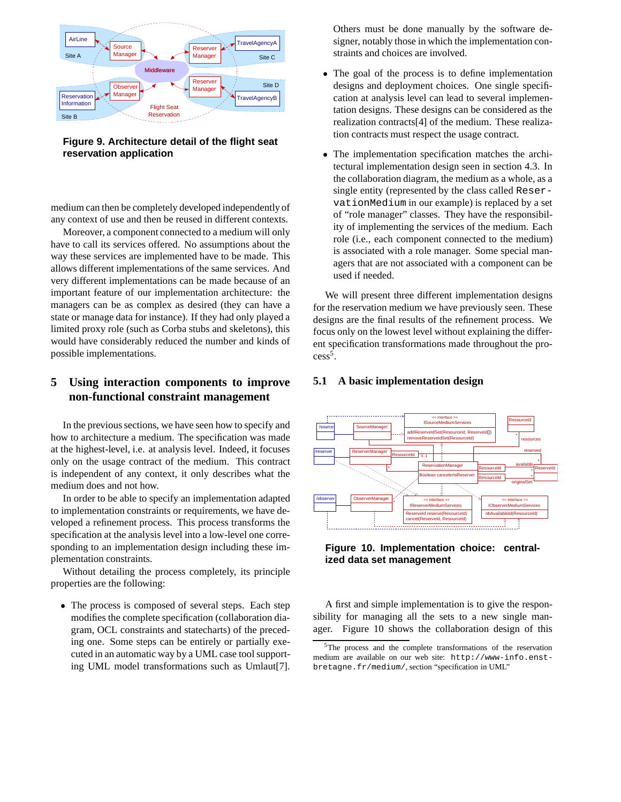

**Figure 9. Architecture detail of the flight seat reservation application**

medium can then be completely developed independently of any context of use and then be reused in different contexts.

Moreover, a component connected to a medium will only have to call its services offered. No assumptions about the way these services are implemented have to be made. This allows different implementations of the same services. And very different implementations can be made because of an important feature of our implementation architecture: the managers can be as complex as desired (they can have a state or manage data for instance). If they had only played a limited proxy role (such as Corba stubs and skeletons), this would have considerably reduced the number and kinds of possible implementations.

## **5 Using interaction components to improve non-functional constraint management**

In the previous sections, we have seen how to specify and how to architecture a medium. The specification was made at the highest-level, i.e. at analysis level. Indeed, it focuses only on the usage contract of the medium. This contract is independent of any context, it only describes what the medium does and not how.

In order to be able to specify an implementation adapted to implementation constraints or requirements, we have developed a refinement process. This process transforms the specification at the analysis level into a low-level one corresponding to an implementation design including these implementation constraints.

Without detailing the process completely, its principle properties are the following:

 The process is composed of several steps. Each step modifies the complete specification (collaboration diagram, OCL constraints and statecharts) of the preceding one. Some steps can be entirely or partially executed in an automatic way by a UML case tool supporting UML model transformations such as Umlaut[7]. Others must be done manually by the software designer, notably those in which the implementation constraints and choices are involved.

- The goal of the process is to define implementation designs and deployment choices. One single specification at analysis level can lead to several implementation designs. These designs can be considered as the realization contracts[4] of the medium. These realization contracts must respect the usage contract.
- The implementation specification matches the architectural implementation design seen in section 4.3. In the collaboration diagram, the medium as a whole, as a single entity (represented by the class called ReservationMedium in our example) is replaced by a set of "role manager" classes. They have the responsibility of implementing the services of the medium. Each role (i.e., each component connected to the medium) is associated with a role manager. Some special managers that are not associated with a component can be used if needed.

We will present three different implementation designs for the reservation medium we have previously seen. These designs are the final results of the refinement process. We focus only on the lowest level without explaining the different specification transformations made throughout the pro $cess<sup>5</sup>$ .

#### **5.1 A basic implementation design**



#### **Figure 10. Implementation choice: centralized data set management**

A first and simple implementation is to give the responsibility for managing all the sets to a new single manager. Figure 10 shows the collaboration design of this

<sup>&</sup>lt;sup>5</sup>The process and the complete transformations of the reservation medium are available on our web site: http://www-info.enstbretagne.fr/medium/, section "specification in UML"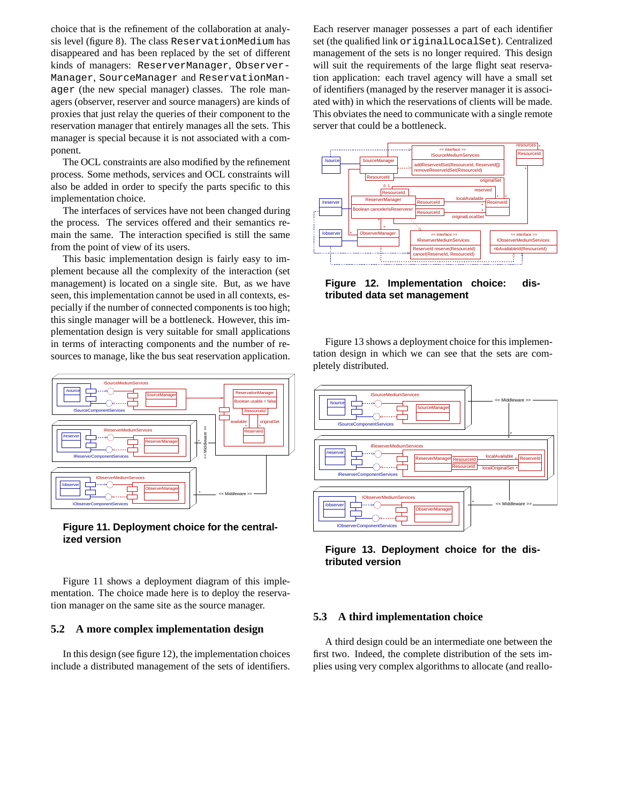choice that is the refinement of the collaboration at analysis level (figure 8). The class ReservationMedium has disappeared and has been replaced by the set of different kinds of managers: ReserverManager, Observer-Manager, SourceManager and ReservationManager (the new special manager) classes. The role managers (observer, reserver and source managers) are kinds of proxies that just relay the queries of their component to the reservation manager that entirely manages all the sets. This manager is special because it is not associated with a component.

The OCL constraints are also modified by the refinement process. Some methods, services and OCL constraints will also be added in order to specify the parts specific to this implementation choice.

The interfaces of services have not been changed during the process. The services offered and their semantics remain the same. The interaction specified is still the same from the point of view of its users.

This basic implementation design is fairly easy to implement because all the complexity of the interaction (set management) is located on a single site. But, as we have seen, this implementation cannot be used in all contexts, especially if the number of connected components is too high; this single manager will be a bottleneck. However, this implementation design is very suitable for small applications in terms of interacting components and the number of resources to manage, like the bus seat reservation application.



**Figure 11. Deployment choice for the centralized version**

Figure 11 shows a deployment diagram of this implementation. The choice made here is to deploy the reservation manager on the same site as the source manager.

#### **5.2 A more complex implementation design**

In this design (see figure 12), the implementation choices include a distributed management of the sets of identifiers. Each reserver manager possesses a part of each identifier set (the qualified link originalLocalSet). Centralized management of the sets is no longer required. This design will suit the requirements of the large flight seat reservation application: each travel agency will have a small set of identifiers (managed by the reserver manager it is associated with) in which the reservations of clients will be made. This obviates the need to communicate with a single remote server that could be a bottleneck.



**Figure 12. Implementation choice: distributed data set management**

Figure 13 shows a deployment choice for this implementation design in which we can see that the sets are completely distributed.



**Figure 13. Deployment choice for the distributed version**

#### **5.3 A third implementation choice**

A third design could be an intermediate one between the first two. Indeed, the complete distribution of the sets implies using very complex algorithms to allocate (and reallo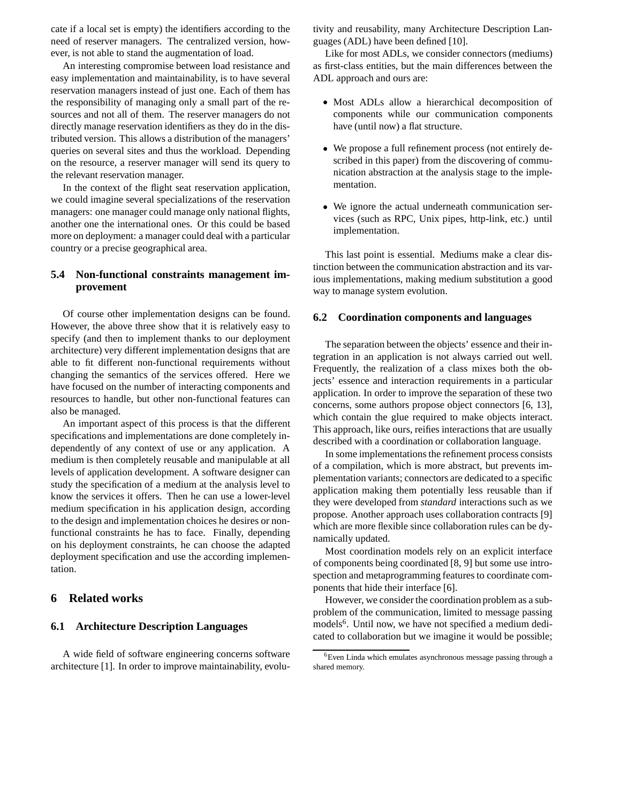cate if a local set is empty) the identifiers according to the need of reserver managers. The centralized version, however, is not able to stand the augmentation of load.

An interesting compromise between load resistance and easy implementation and maintainability, is to have several reservation managers instead of just one. Each of them has the responsibility of managing only a small part of the resources and not all of them. The reserver managers do not directly manage reservation identifiers as they do in the distributed version. This allows a distribution of the managers' queries on several sites and thus the workload. Depending on the resource, a reserver manager will send its query to the relevant reservation manager.

In the context of the flight seat reservation application, we could imagine several specializations of the reservation managers: one manager could manage only national flights, another one the international ones. Or this could be based more on deployment: a manager could deal with a particular country or a precise geographical area.

## **5.4 Non-functional constraints management improvement**

Of course other implementation designs can be found. However, the above three show that it is relatively easy to specify (and then to implement thanks to our deployment architecture) very different implementation designs that are able to fit different non-functional requirements without changing the semantics of the services offered. Here we have focused on the number of interacting components and resources to handle, but other non-functional features can also be managed.

An important aspect of this process is that the different specifications and implementations are done completely independently of any context of use or any application. A medium is then completely reusable and manipulable at all levels of application development. A software designer can study the specification of a medium at the analysis level to know the services it offers. Then he can use a lower-level medium specification in his application design, according to the design and implementation choices he desires or nonfunctional constraints he has to face. Finally, depending on his deployment constraints, he can choose the adapted deployment specification and use the according implementation.

#### **6 Related works**

#### **6.1 Architecture Description Languages**

A wide field of software engineering concerns software architecture [1]. In order to improve maintainability, evolutivity and reusability, many Architecture Description Languages (ADL) have been defined [10].

Like for most ADLs, we consider connectors (mediums) as first-class entities, but the main differences between the ADL approach and ours are:

- Most ADLs allow a hierarchical decomposition of components while our communication components have (until now) a flat structure.
- We propose a full refinement process (not entirely described in this paper) from the discovering of communication abstraction at the analysis stage to the implementation.
- We ignore the actual underneath communication services (such as RPC, Unix pipes, http-link, etc.) until implementation.

This last point is essential. Mediums make a clear distinction between the communication abstraction and its various implementations, making medium substitution a good way to manage system evolution.

#### **6.2 Coordination components and languages**

The separation between the objects' essence and their integration in an application is not always carried out well. Frequently, the realization of a class mixes both the objects' essence and interaction requirements in a particular application. In order to improve the separation of these two concerns, some authors propose object connectors [6, 13], which contain the glue required to make objects interact. This approach, like ours, reifies interactions that are usually described with a coordination or collaboration language.

In some implementations the refinement process consists of a compilation, which is more abstract, but prevents implementation variants; connectors are dedicated to a specific application making them potentially less reusable than if they were developed from *standard* interactions such as we propose. Another approach uses collaboration contracts [9] which are more flexible since collaboration rules can be dynamically updated.

Most coordination models rely on an explicit interface of components being coordinated [8, 9] but some use introspection and metaprogramming features to coordinate components that hide their interface [6].

However, we consider the coordination problem as a subproblem of the communication, limited to message passing models<sup>6</sup>. Until now, we have not specified a medium dedicated to collaboration but we imagine it would be possible;

<sup>6</sup>Even Linda which emulates asynchronous message passing through a shared memory.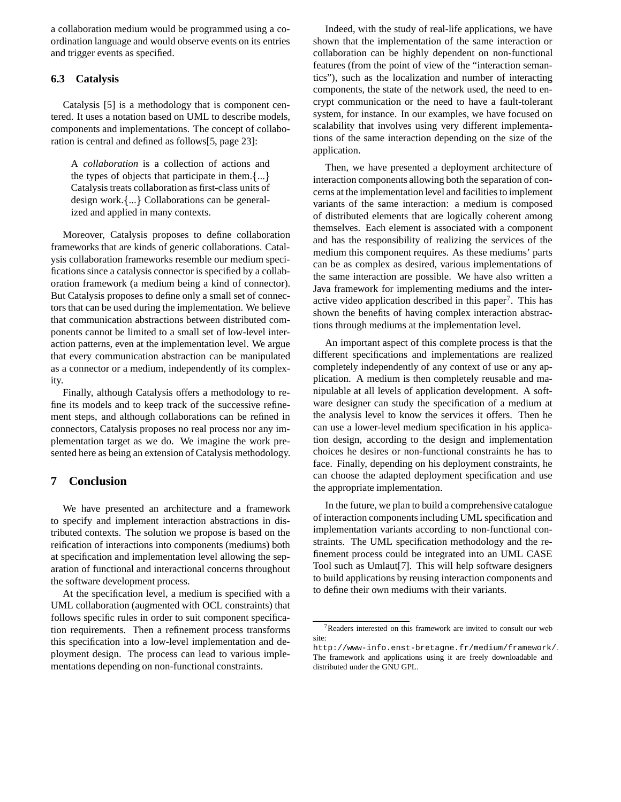a collaboration medium would be programmed using a coordination language and would observe events on its entries and trigger events as specified.

#### **6.3 Catalysis**

Catalysis [5] is a methodology that is component centered. It uses a notation based on UML to describe models, components and implementations. The concept of collaboration is central and defined as follows[5, page 23]:

A *collaboration* is a collection of actions and the types of objects that participate in them. $\{...\}$ Catalysis treats collaboration as first-class units of design work. {...} Collaborations can be generalized and applied in many contexts.

Moreover, Catalysis proposes to define collaboration frameworks that are kinds of generic collaborations. Catalysis collaboration frameworks resemble our medium specifications since a catalysis connector is specified by a collaboration framework (a medium being a kind of connector). But Catalysis proposes to define only a small set of connectors that can be used during the implementation. We believe that communication abstractions between distributed components cannot be limited to a small set of low-level interaction patterns, even at the implementation level. We argue that every communication abstraction can be manipulated as a connector or a medium, independently of its complexity.

Finally, although Catalysis offers a methodology to refine its models and to keep track of the successive refinement steps, and although collaborations can be refined in connectors, Catalysis proposes no real process nor any implementation target as we do. We imagine the work presented here as being an extension of Catalysis methodology.

## **7 Conclusion**

We have presented an architecture and a framework to specify and implement interaction abstractions in distributed contexts. The solution we propose is based on the reification of interactions into components (mediums) both at specification and implementation level allowing the separation of functional and interactional concerns throughout the software development process.

At the specification level, a medium is specified with a UML collaboration (augmented with OCL constraints) that follows specific rules in order to suit component specification requirements. Then a refinement process transforms this specification into a low-level implementation and deployment design. The process can lead to various implementations depending on non-functional constraints.

Indeed, with the study of real-life applications, we have shown that the implementation of the same interaction or collaboration can be highly dependent on non-functional features (from the point of view of the "interaction semantics"), such as the localization and number of interacting components, the state of the network used, the need to encrypt communication or the need to have a fault-tolerant system, for instance. In our examples, we have focused on scalability that involves using very different implementations of the same interaction depending on the size of the application.

Then, we have presented a deployment architecture of interaction components allowing both the separation of concerns at the implementation level and facilities to implement variants of the same interaction: a medium is composed of distributed elements that are logically coherent among themselves. Each element is associated with a component and has the responsibility of realizing the services of the medium this component requires. As these mediums' parts can be as complex as desired, various implementations of the same interaction are possible. We have also written a Java framework for implementing mediums and the interactive video application described in this paper<sup>7</sup>. This has shown the benefits of having complex interaction abstractions through mediums at the implementation level.

An important aspect of this complete process is that the different specifications and implementations are realized completely independently of any context of use or any application. A medium is then completely reusable and manipulable at all levels of application development. A software designer can study the specification of a medium at the analysis level to know the services it offers. Then he can use a lower-level medium specification in his application design, according to the design and implementation choices he desires or non-functional constraints he has to face. Finally, depending on his deployment constraints, he can choose the adapted deployment specification and use the appropriate implementation.

In the future, we plan to build a comprehensive catalogue of interaction componentsincluding UML specification and implementation variants according to non-functional constraints. The UML specification methodology and the refinement process could be integrated into an UML CASE Tool such as Umlaut[7]. This will help software designers to build applications by reusing interaction components and to define their own mediums with their variants.

<sup>7</sup>Readers interested on this framework are invited to consult our web site:

http://www-info.enst-bretagne.fr/medium/framework/. The framework and applications using it are freely downloadable and distributed under the GNU GPL.